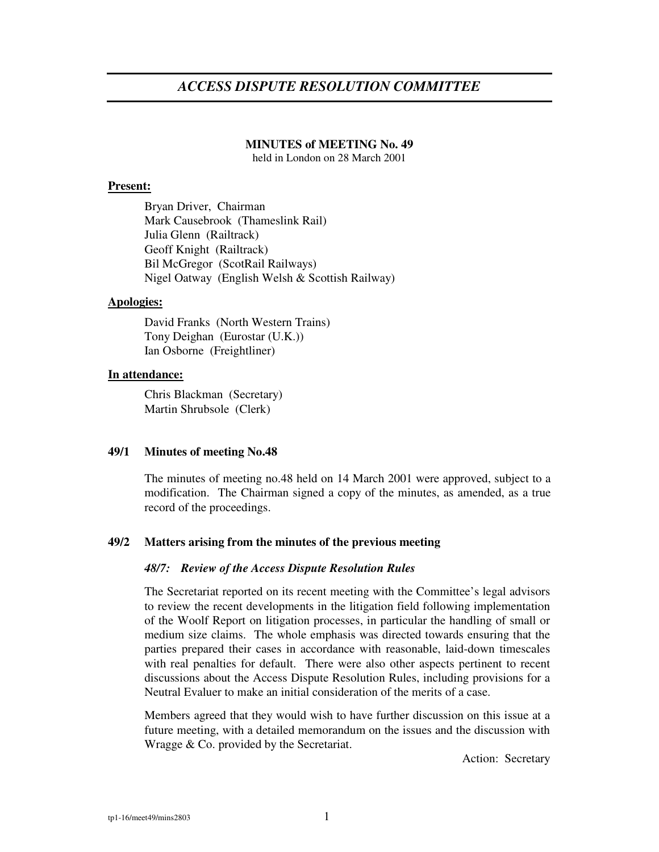# *ACCESS DISPUTE RESOLUTION COMMITTEE*

#### **MINUTES of MEETING No. 49**

held in London on 28 March 2001

#### **Present:**

Bryan Driver, Chairman Mark Causebrook (Thameslink Rail) Julia Glenn (Railtrack) Geoff Knight (Railtrack) Bil McGregor (ScotRail Railways) Nigel Oatway (English Welsh & Scottish Railway)

## **Apologies:**

David Franks (North Western Trains) Tony Deighan (Eurostar (U.K.)) Ian Osborne (Freightliner)

#### **In attendance:**

Chris Blackman (Secretary) Martin Shrubsole (Clerk)

## **49/1 Minutes of meeting No.48**

The minutes of meeting no.48 held on 14 March 2001 were approved, subject to a modification. The Chairman signed a copy of the minutes, as amended, as a true record of the proceedings.

#### **49/2 Matters arising from the minutes of the previous meeting**

#### *48/7: Review of the Access Dispute Resolution Rules*

The Secretariat reported on its recent meeting with the Committee's legal advisors to review the recent developments in the litigation field following implementation of the Woolf Report on litigation processes, in particular the handling of small or medium size claims. The whole emphasis was directed towards ensuring that the parties prepared their cases in accordance with reasonable, laid-down timescales with real penalties for default. There were also other aspects pertinent to recent discussions about the Access Dispute Resolution Rules, including provisions for a Neutral Evaluer to make an initial consideration of the merits of a case.

Members agreed that they would wish to have further discussion on this issue at a future meeting, with a detailed memorandum on the issues and the discussion with Wragge & Co. provided by the Secretariat.

Action: Secretary